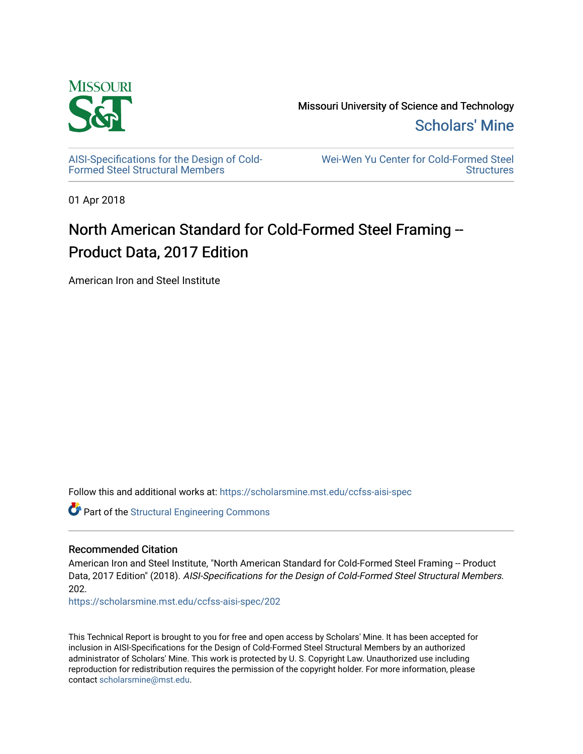

[AISI-Specifications for the Design of Cold-](https://scholarsmine.mst.edu/ccfss-aisi-spec)[Formed Steel Structural Members](https://scholarsmine.mst.edu/ccfss-aisi-spec)

[Wei-Wen Yu Center for Cold-Formed Steel](https://scholarsmine.mst.edu/ccfss)  **Structures** 

01 Apr 2018

# North American Standard for Cold-Formed Steel Framing --Product Data, 2017 Edition

American Iron and Steel Institute

Follow this and additional works at: [https://scholarsmine.mst.edu/ccfss-aisi-spec](https://scholarsmine.mst.edu/ccfss-aisi-spec?utm_source=scholarsmine.mst.edu%2Fccfss-aisi-spec%2F202&utm_medium=PDF&utm_campaign=PDFCoverPages) 

**Part of the Structural Engineering Commons** 

### Recommended Citation

American Iron and Steel Institute, "North American Standard for Cold-Formed Steel Framing -- Product Data, 2017 Edition" (2018). AISI-Specifications for the Design of Cold-Formed Steel Structural Members. 202.

[https://scholarsmine.mst.edu/ccfss-aisi-spec/202](https://scholarsmine.mst.edu/ccfss-aisi-spec/202?utm_source=scholarsmine.mst.edu%2Fccfss-aisi-spec%2F202&utm_medium=PDF&utm_campaign=PDFCoverPages) 

This Technical Report is brought to you for free and open access by Scholars' Mine. It has been accepted for inclusion in AISI-Specifications for the Design of Cold-Formed Steel Structural Members by an authorized administrator of Scholars' Mine. This work is protected by U. S. Copyright Law. Unauthorized use including reproduction for redistribution requires the permission of the copyright holder. For more information, please contact [scholarsmine@mst.edu](mailto:scholarsmine@mst.edu).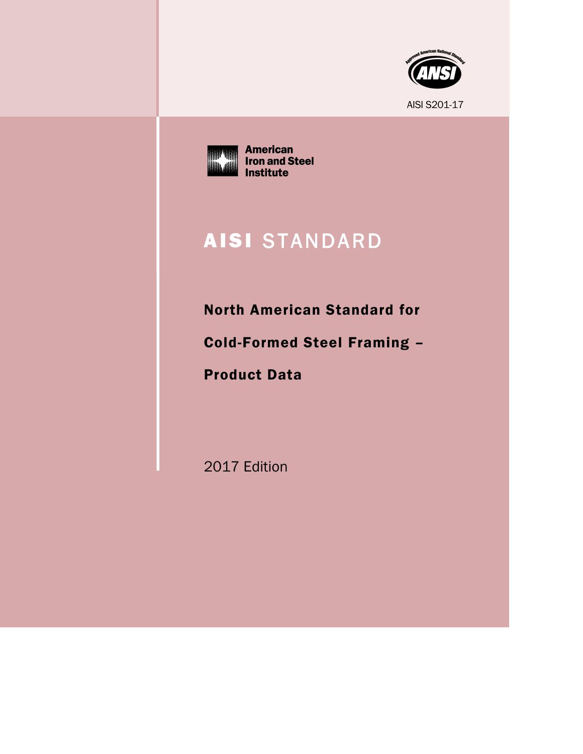

AISI S201-17



# **AISI** STANDARD

# North American Standard for

Cold-Formed Steel Framing –

Product Data

2017 Edition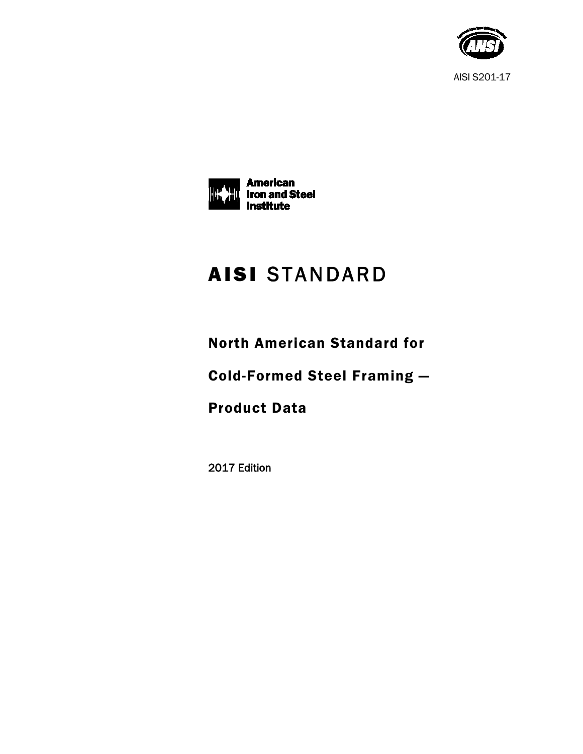

AISI S201-17



# AISI STANDARD

North American Standard for

Cold-Formed Steel Framing —

Product Data

2017 Edition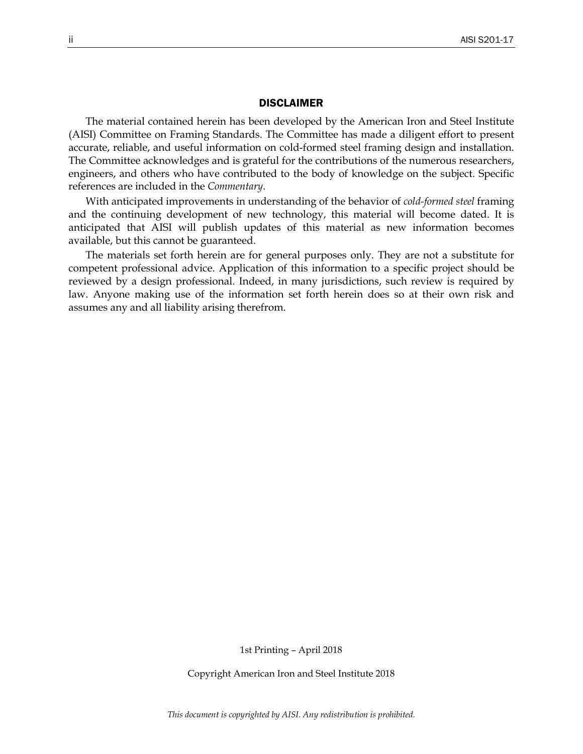### DISCLAIMER

<span id="page-3-0"></span>The material contained herein has been developed by the American Iron and Steel Institute (AISI) Committee on Framing Standards. The Committee has made a diligent effort to present accurate, reliable, and useful information on cold-formed steel framing design and installation. The Committee acknowledges and is grateful for the contributions of the numerous researchers, engineers, and others who have contributed to the body of knowledge on the subject. Specific references are included in the *Commentary*.

With anticipated improvements in understanding of the behavior of *cold-formed steel* framing and the continuing development of new technology, this material will become dated. It is anticipated that AISI will publish updates of this material as new information becomes available, but this cannot be guaranteed.

The materials set forth herein are for general purposes only. They are not a substitute for competent professional advice. Application of this information to a specific project should be reviewed by a design professional. Indeed, in many jurisdictions, such review is required by law. Anyone making use of the information set forth herein does so at their own risk and assumes any and all liability arising therefrom.

1st Printing – April 2018

Copyright American Iron and Steel Institute 2018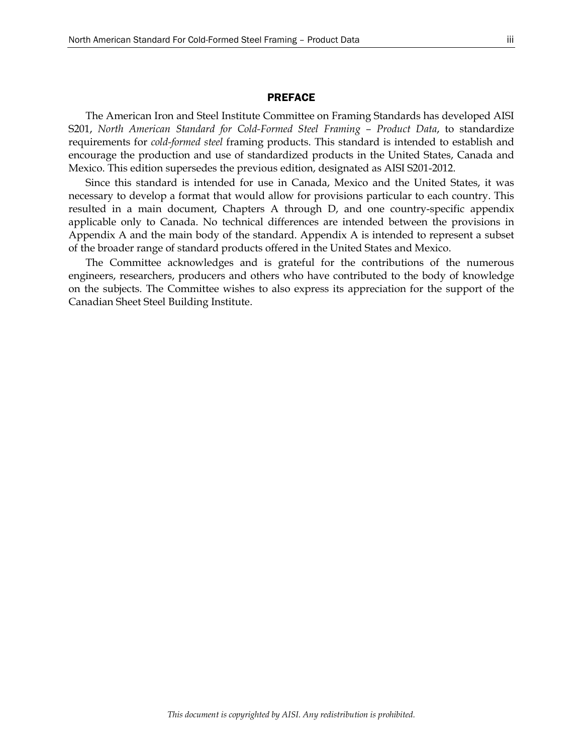#### PREFACE

<span id="page-4-0"></span>The American Iron and Steel Institute Committee on Framing Standards has developed AISI S201, *North American Standard for Cold-Formed Steel Framing – Product Data*, to standardize requirements for *cold-formed steel* framing products. This standard is intended to establish and encourage the production and use of standardized products in the United States, Canada and Mexico. This edition supersedes the previous edition, designated as AISI S201-2012.

Since this standard is intended for use in Canada, Mexico and the United States, it was necessary to develop a format that would allow for provisions particular to each country. This resulted in a main document, Chapters A through D, and one country-specific appendix applicable only to Canada. No technical differences are intended between the provisions in Appendix A and the main body of the standard. Appendix A is intended to represent a subset of the broader range of standard products offered in the United States and Mexico.

The Committee acknowledges and is grateful for the contributions of the numerous engineers, researchers, producers and others who have contributed to the body of knowledge on the subjects. The Committee wishes to also express its appreciation for the support of the Canadian Sheet Steel Building Institute.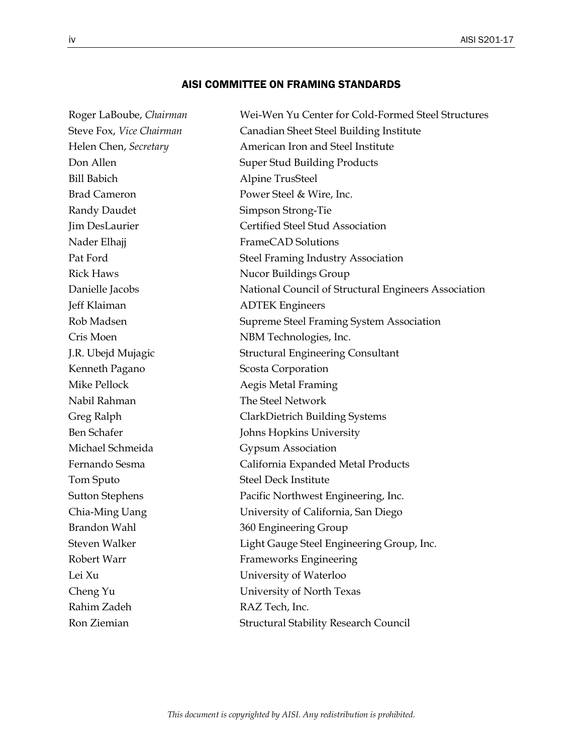# AISI COMMITTEE ON FRAMING STANDARDS

<span id="page-5-0"></span>

| Roger LaBoube, Chairman  | Wei-Wen Yu Center for Cold-Formed Steel Structures   |
|--------------------------|------------------------------------------------------|
| Steve Fox, Vice Chairman | Canadian Sheet Steel Building Institute              |
| Helen Chen, Secretary    | American Iron and Steel Institute                    |
| Don Allen                | <b>Super Stud Building Products</b>                  |
| <b>Bill Babich</b>       | Alpine TrusSteel                                     |
| <b>Brad Cameron</b>      | Power Steel & Wire, Inc.                             |
| Randy Daudet             | Simpson Strong-Tie                                   |
| Jim DesLaurier           | Certified Steel Stud Association                     |
| Nader Elhajj             | FrameCAD Solutions                                   |
| Pat Ford                 | <b>Steel Framing Industry Association</b>            |
| <b>Rick Haws</b>         | Nucor Buildings Group                                |
| Danielle Jacobs          | National Council of Structural Engineers Association |
| Jeff Klaiman             | <b>ADTEK Engineers</b>                               |
| Rob Madsen               | Supreme Steel Framing System Association             |
| Cris Moen                | NBM Technologies, Inc.                               |
| J.R. Ubejd Mujagic       | <b>Structural Engineering Consultant</b>             |
| Kenneth Pagano           | Scosta Corporation                                   |
| Mike Pellock             | Aegis Metal Framing                                  |
| Nabil Rahman             | The Steel Network                                    |
| Greg Ralph               | <b>ClarkDietrich Building Systems</b>                |
| <b>Ben Schafer</b>       | Johns Hopkins University                             |
| Michael Schmeida         | <b>Gypsum Association</b>                            |
| Fernando Sesma           | California Expanded Metal Products                   |
| Tom Sputo                | Steel Deck Institute                                 |
| <b>Sutton Stephens</b>   | Pacific Northwest Engineering, Inc.                  |
| Chia-Ming Uang           | University of California, San Diego                  |
| <b>Brandon Wahl</b>      | 360 Engineering Group                                |
| <b>Steven Walker</b>     | Light Gauge Steel Engineering Group, Inc.            |
| Robert Warr              | Frameworks Engineering                               |
| Lei Xu                   | University of Waterloo                               |
| Cheng Yu                 | University of North Texas                            |
| Rahim Zadeh              | RAZ Tech, Inc.                                       |
| Ron Ziemian              | <b>Structural Stability Research Council</b>         |
|                          |                                                      |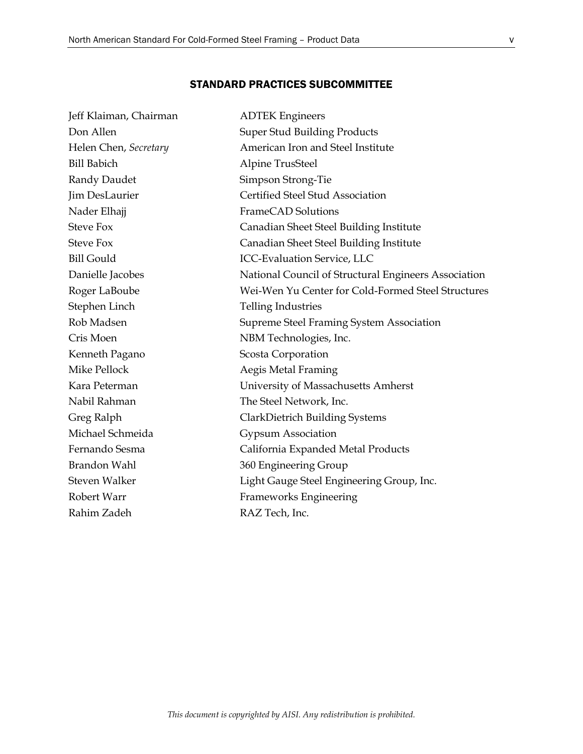# STANDARD PRACTICES SUBCOMMITTEE

<span id="page-6-0"></span>

| Jeff Klaiman, Chairman | <b>ADTEK Engineers</b>                               |
|------------------------|------------------------------------------------------|
| Don Allen              | Super Stud Building Products                         |
| Helen Chen, Secretary  | American Iron and Steel Institute                    |
| <b>Bill Babich</b>     | Alpine TrusSteel                                     |
| Randy Daudet           | Simpson Strong-Tie                                   |
| Jim DesLaurier         | Certified Steel Stud Association                     |
| Nader Elhajj           | FrameCAD Solutions                                   |
| <b>Steve Fox</b>       | Canadian Sheet Steel Building Institute              |
| <b>Steve Fox</b>       | Canadian Sheet Steel Building Institute              |
| <b>Bill Gould</b>      | ICC-Evaluation Service, LLC                          |
| Danielle Jacobes       | National Council of Structural Engineers Association |
| Roger LaBoube          | Wei-Wen Yu Center for Cold-Formed Steel Structures   |
| Stephen Linch          | Telling Industries                                   |
| Rob Madsen             | <b>Supreme Steel Framing System Association</b>      |
| Cris Moen              | NBM Technologies, Inc.                               |
| Kenneth Pagano         | Scosta Corporation                                   |
| Mike Pellock           | Aegis Metal Framing                                  |
| Kara Peterman          | University of Massachusetts Amherst                  |
| Nabil Rahman           | The Steel Network, Inc.                              |
| Greg Ralph             | ClarkDietrich Building Systems                       |
| Michael Schmeida       | <b>Gypsum Association</b>                            |
| Fernando Sesma         | California Expanded Metal Products                   |
| <b>Brandon Wahl</b>    | 360 Engineering Group                                |
| <b>Steven Walker</b>   | Light Gauge Steel Engineering Group, Inc.            |
| Robert Warr            | Frameworks Engineering                               |
| Rahim Zadeh            | RAZ Tech, Inc.                                       |
|                        |                                                      |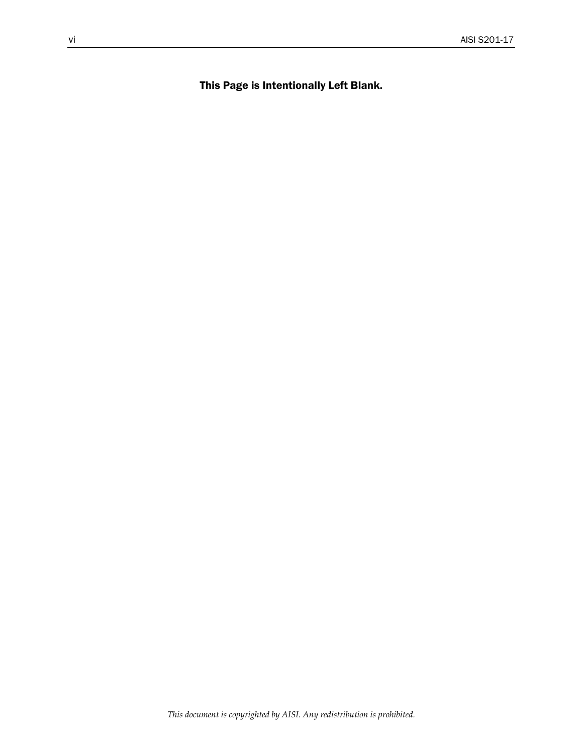This Page is Intentionally Left Blank.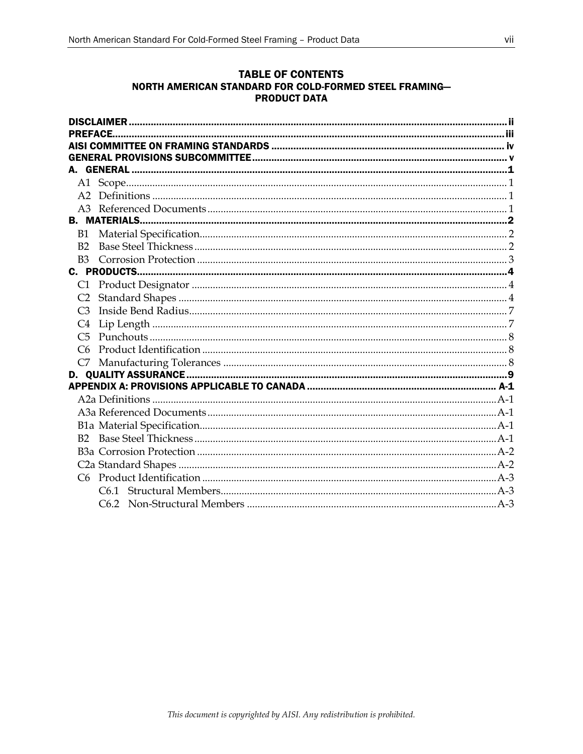### **TABLE OF CONTENTS** NORTH AMERICAN STANDARD FOR COLD-FORMED STEEL FRAMING-**PRODUCT DATA**

| <b>B1</b>      |  |
|----------------|--|
| B2             |  |
| B <sub>3</sub> |  |
|                |  |
|                |  |
|                |  |
|                |  |
|                |  |
| C <sub>5</sub> |  |
|                |  |
|                |  |
|                |  |
|                |  |
|                |  |
|                |  |
|                |  |
| B2             |  |
|                |  |
|                |  |
|                |  |
|                |  |
|                |  |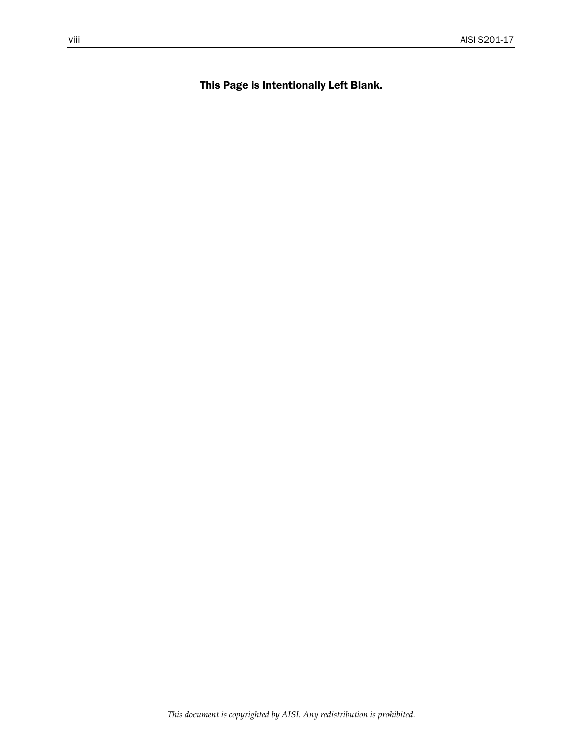This Page is Intentionally Left Blank.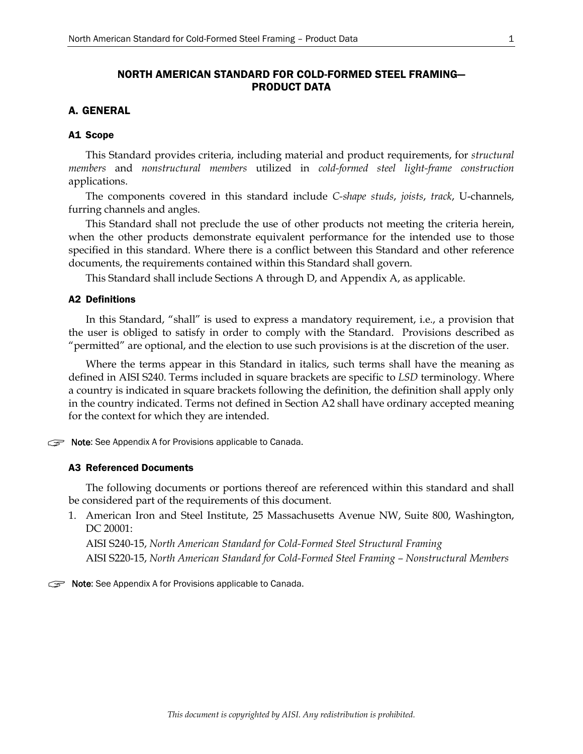### NORTH AMERICAN STANDARD FOR COLD-FORMED STEEL FRAMING— PRODUCT DATA

### <span id="page-10-0"></span>A. GENERAL

### <span id="page-10-1"></span>A1 Scope

This Standard provides criteria, including material and product requirements, for *structural members* and *nonstructural members* utilized in *cold-formed steel light-frame construction*  applications.

The components covered in this standard include *C-shape studs*, *joists*, *track*, U-channels, furring channels and angles.

This Standard shall not preclude the use of other products not meeting the criteria herein, when the other products demonstrate equivalent performance for the intended use to those specified in this standard. Where there is a conflict between this Standard and other reference documents, the requirements contained within this Standard shall govern.

This Standard shall include Sections A through D, and Appendix A, as applicable.

### <span id="page-10-2"></span>A2 Definitions

In this Standard, "shall" is used to express a mandatory requirement, i.e., a provision that the user is obliged to satisfy in order to comply with the Standard. Provisions described as "permitted" are optional, and the election to use such provisions is at the discretion of the user.

Where the terms appear in this Standard in italics, such terms shall have the meaning as defined in AISI S240. Terms included in square brackets are specific to *LSD* terminology. Where a country is indicated in square brackets following the definition, the definition shall apply only in the country indicated. Terms not defined in Section A2 shall have ordinary accepted meaning for the context for which they are intended.

**Note:** See Appendix A for Provisions applicable to Canada.

### <span id="page-10-3"></span>A3 Referenced Documents

The following documents or portions thereof are referenced within this standard and shall be considered part of the requirements of this document.

1. American Iron and Steel Institute, 25 Massachusetts Avenue NW, Suite 800, Washington, DC 20001:

AISI S240-15, *North American Standard for Cold-Formed Steel Structural Framing*

AISI S220-15, *North American Standard for Cold-Formed Steel Framing – Nonstructural Members*

**Note:** See Appendix A for Provisions applicable to Canada.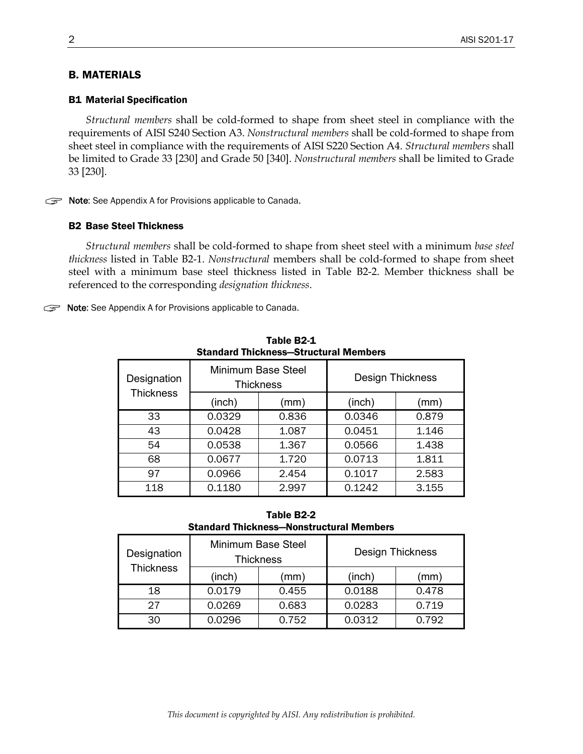### <span id="page-11-1"></span><span id="page-11-0"></span>B1 Material Specification

*Structural members* shall be cold-formed to shape from sheet steel in compliance with the requirements of AISI S240 Section A3. *Nonstructural members* shall be cold-formed to shape from sheet steel in compliance with the requirements of AISI S220 Section A4. *Structural members* shall be limited to Grade 33 [230] and Grade 50 [340]. *Nonstructural members* shall be limited to Grade 33 [230].

**Note:** See Appendix A for Provisions applicable to Canada.

### <span id="page-11-2"></span>B2 Base Steel Thickness

*Structural members* shall be cold-formed to shape from sheet steel with a minimum *base steel thickness* listed in Table B2-1. *Nonstructural* members shall be cold-formed to shape from sheet steel with a minimum base steel thickness listed in Table B2-2. Member thickness shall be referenced to the corresponding *designation thickness*.

Note: See Appendix A for Provisions applicable to Canada.

| Standard Inickness—Structural Members |        |                                        |                  |       |  |  |  |
|---------------------------------------|--------|----------------------------------------|------------------|-------|--|--|--|
| Designation                           |        | Minimum Base Steel<br><b>Thickness</b> | Design Thickness |       |  |  |  |
| <b>Thickness</b>                      | (inch) | (mm)                                   | (inch)           | (mm)  |  |  |  |
| 33                                    | 0.0329 | 0.836                                  | 0.0346           | 0.879 |  |  |  |
| 43                                    | 0.0428 | 1.087                                  | 0.0451           | 1.146 |  |  |  |
| 54                                    | 0.0538 | 1.367                                  | 0.0566           | 1.438 |  |  |  |
| 68                                    | 0.0677 | 1.720                                  | 0.0713           | 1.811 |  |  |  |
| 97                                    | 0.0966 | 2.454                                  | 0.1017           | 2.583 |  |  |  |
| 118                                   | 0.1180 | 2.997                                  | 0.1242           | 3.155 |  |  |  |
|                                       |        |                                        |                  |       |  |  |  |

Table B2-1 Standard Thickness—Structural Members

### Table B2-2 Standard Thickness—Nonstructural Members

| Designation<br><b>Thickness</b> |        | Minimum Base Steel<br><b>Thickness</b> | Design Thickness |       |  |
|---------------------------------|--------|----------------------------------------|------------------|-------|--|
|                                 | (inch) | (mm)                                   | (inch)           | (mm)  |  |
| 18                              | 0.0179 | 0.455                                  | 0.0188           | 0.478 |  |
| 27                              | 0.0269 | 0.683                                  | 0.0283           | 0.719 |  |
| 30                              | 0.0296 | 0.752                                  | 0.0312           | 0.792 |  |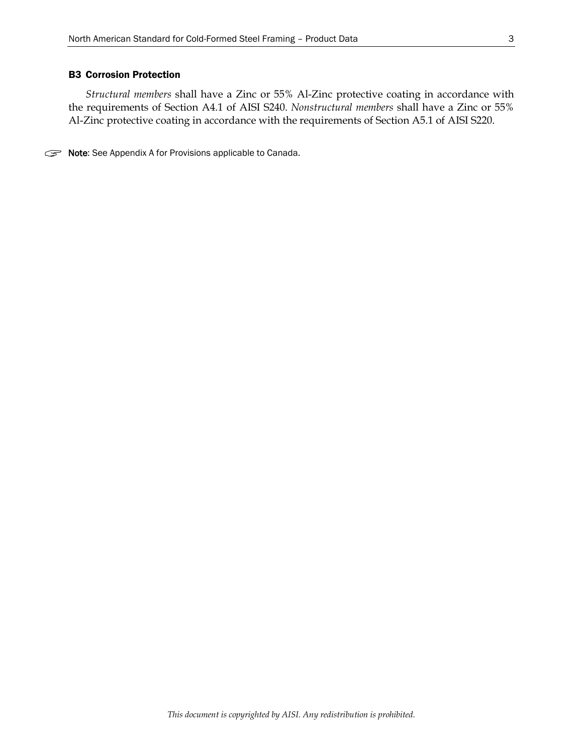### <span id="page-12-0"></span>B3 Corrosion Protection

*Structural members* shall have a Zinc or 55% Al-Zinc protective coating in accordance with the requirements of Section A4.1 of AISI S240. *Nonstructural members* shall have a Zinc or 55% Al-Zinc protective coating in accordance with the requirements of Section A5.1 of AISI S220.

Note: See Appendix A for Provisions applicable to Canada.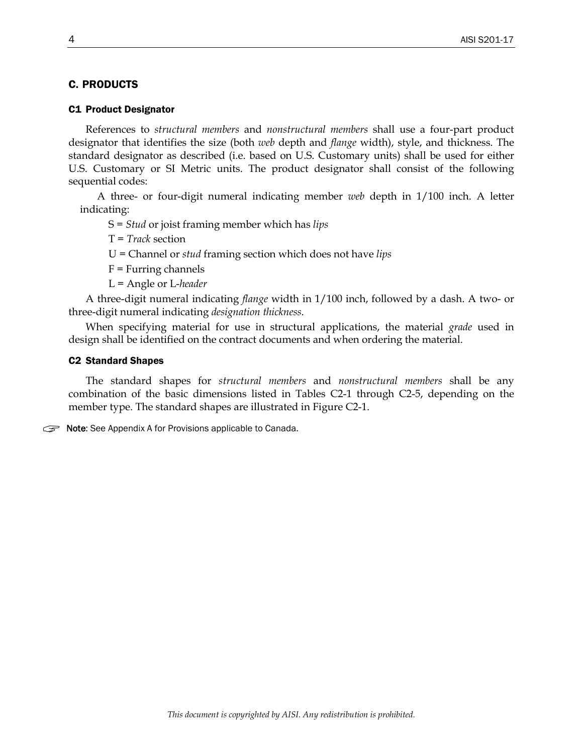### <span id="page-13-0"></span>C. PRODUCTS

### <span id="page-13-1"></span>C1 Product Designator

References to *structural members* and *nonstructural members* shall use a four-part product designator that identifies the size (both *web* depth and *flange* width), style, and thickness. The standard designator as described (i.e. based on U.S. Customary units) shall be used for either U.S. Customary or SI Metric units. The product designator shall consist of the following sequential codes:

A three- or four-digit numeral indicating member *web* depth in 1/100 inch. A letter indicating:

S = *Stud* or joist framing member which has *lips*

T = *Track* section

U = Channel or *stud* framing section which does not have *lips*

F = Furring channels

L = Angle or L-*header*

A three-digit numeral indicating *flange* width in 1/100 inch, followed by a dash. A two- or three-digit numeral indicating *designation thickness*.

When specifying material for use in structural applications, the material *grade* used in design shall be identified on the contract documents and when ordering the material.

### <span id="page-13-2"></span>C2 Standard Shapes

The standard shapes for *structural members* and *nonstructural members* shall be any combination of the basic dimensions listed in Tables C2-1 through C2-5, depending on the member type. The standard shapes are illustrated in Figure C2-1.

Note: See Appendix A for Provisions applicable to Canada.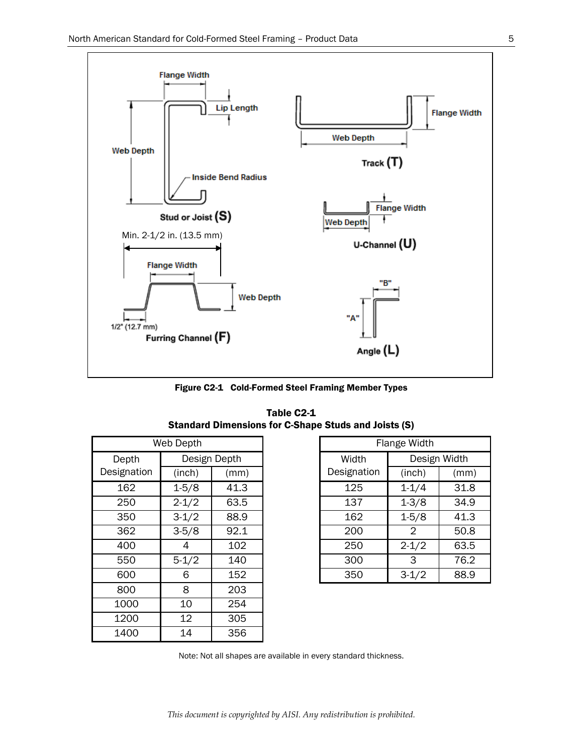

Figure C2-1 Cold-Formed Steel Framing Member Types

Table C2-1 Standard Dimensions for C-Shape Studs and Joists (S)

| Web Depth   |              |      | Flange Width |           |              |
|-------------|--------------|------|--------------|-----------|--------------|
| Depth       | Design Depth |      | Width        |           | Design Width |
| Designation | (inch)       | (mm) | Designation  | (inch)    | (mm)         |
| 162         | $1 - 5/8$    | 41.3 | 125          | $1 - 1/4$ | 31.8         |
| 250         | $2 - 1/2$    | 63.5 | 137          | $1 - 3/8$ | 34.9         |
| 350         | $3-1/2$      | 88.9 | 162          | $1 - 5/8$ | 41.3         |
| 362         | $3-5/8$      | 92.1 | 200          | 2         | 50.8         |
| 400         | 4            | 102  | 250          | $2 - 1/2$ | 63.5         |
| 550         | $5-1/2$      | 140  | 300          | 3         | 76.2         |
| 600         | 6            | 152  | 350          | $3-1/2$   | 88.9         |
| 800         | 8            | 203  |              |           |              |
| 1000        | 10           | 254  |              |           |              |
| 1200        | 12           | 305  |              |           |              |
| 1400        | 14           | 356  |              |           |              |

| Web Depth |              |      | Flange Width |              |      |
|-----------|--------------|------|--------------|--------------|------|
| epth      | Design Depth |      | Width        | Design Width |      |
| ignation  | (inch)       | (mm) | Designation  | (inch)       | (mm) |
| 162       | $1 - 5/8$    | 41.3 | 125          | $1 - 1/4$    | 31.8 |
| 250       | $2 - 1/2$    | 63.5 | 137          | $1 - 3/8$    | 34.9 |
| 350       | $3-1/2$      | 88.9 | 162          | $1 - 5/8$    | 41.3 |
| 362       | $3-5/8$      | 92.1 | 200          | 2            | 50.8 |
| 400       | 4            | 102  | 250          | $2 - 1/2$    | 63.5 |
| 550       | $5-1/2$      | 140  | 300          | 3            | 76.2 |
| 600       | 6            | 152  | 350          | $3-1/2$      | 88.9 |

Note: Not all shapes are available in every standard thickness.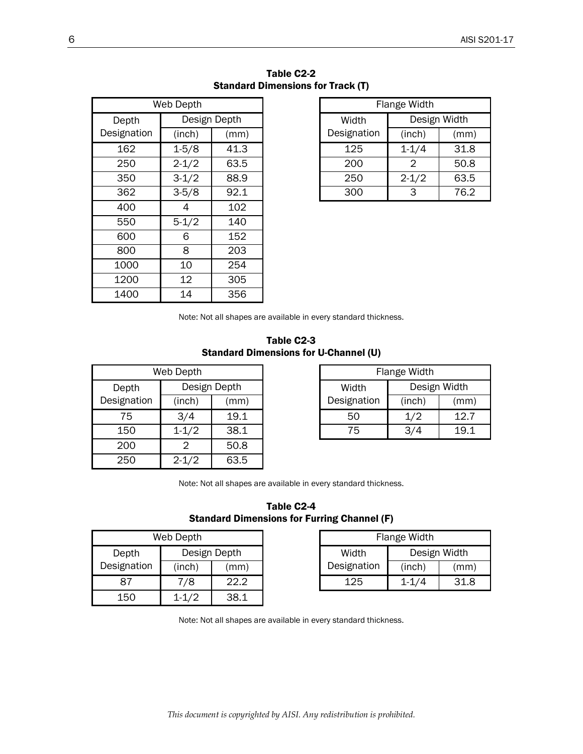|             | Web Depth    |      |
|-------------|--------------|------|
| Depth       | Design Depth |      |
| Designation | (inch)       | (mm) |
| 162         | $1 - 5/8$    | 41.3 |
| 250         | $2 - 1/2$    | 63.5 |
| 350         | $3-1/2$      | 88.9 |
| 362         | $3-5/8$      | 92.1 |
| 400         | 4            | 102  |
| 550         | $5-1/2$      | 140  |
| 600         | 6            | 152  |
| 800         | 8            | 203  |
| 1000        | 10           | 254  |
| 1200        | 12           | 305  |
| 1400        | 14           | 356  |

| Table C2-2                               |  |
|------------------------------------------|--|
| <b>Standard Dimensions for Track (T)</b> |  |

| Web Depth |              |      | Flange Width |           |      |  |       |  |              |
|-----------|--------------|------|--------------|-----------|------|--|-------|--|--------------|
| epth)     | Design Depth |      |              |           |      |  | Width |  | Design Width |
| ignation  | (inch)       | (mm) | Designation  | (inch)    | (mm) |  |       |  |              |
| 162       | $1 - 5/8$    | 41.3 | 125          | $1 - 1/4$ | 31.8 |  |       |  |              |
| 250       | $2 - 1/2$    | 63.5 | 200          | 2         | 50.8 |  |       |  |              |
| 350       | $3-1/2$      | 88.9 | 250          | $2 - 1/2$ | 63.5 |  |       |  |              |
| 362       | $3-5/8$      | 92.1 | 300          | 3         | 76.2 |  |       |  |              |

Note: Not all shapes are available in every standard thickness.

Table C2-3 Standard Dimensions for U-Channel (U)

|                       | Web Depth |      |             | Flange Width |              |
|-----------------------|-----------|------|-------------|--------------|--------------|
| Design Depth<br>Depth |           |      | Width       |              | Design Width |
| Designation           | (inch)    | (mm) | Designation | (inch)       | (mm)         |
| 75                    | 3/4       | 19.1 | 50          | 1/2          | 12.7         |
| 150                   | $1 - 1/2$ | 38.1 | 75          | 3/4          | 19.1         |
| 200                   | 2         | 50.8 |             |              |              |
| 250                   | $2 - 1/2$ | 63.5 |             |              |              |

| Web Depth |              |      |             |        |       | Flange Width |  |
|-----------|--------------|------|-------------|--------|-------|--------------|--|
| epth)     | Design Depth |      |             |        | Width | Design Width |  |
| ignation  | (inch)       | (mm) | Designation | (inch) | (mm)  |              |  |
| 75        | 3/4          | 19.1 | 50          | 1/2    | 12.7  |              |  |
| 150       | $1 - 1/2$    | 38.1 | 75          | 3/4    | 19.1  |              |  |

Note: Not all shapes are available in every standard thickness.

Table C2-4 Standard Dimensions for Furring Channel (F)

|             | Web Depth |              |             | Flange Width |              |
|-------------|-----------|--------------|-------------|--------------|--------------|
| Depth       |           | Design Depth | Width       |              | Design Width |
| Designation | (inch)    | (mm)         | Designation | (inch)       | (mm)         |
| 87          | 7/8       | 22.2         | 125         | $1 - 1/4$    | 31.8         |
| 150         | $1 - 1/2$ | 38.1         |             |              |              |

Note: Not all shapes are available in every standard thickness.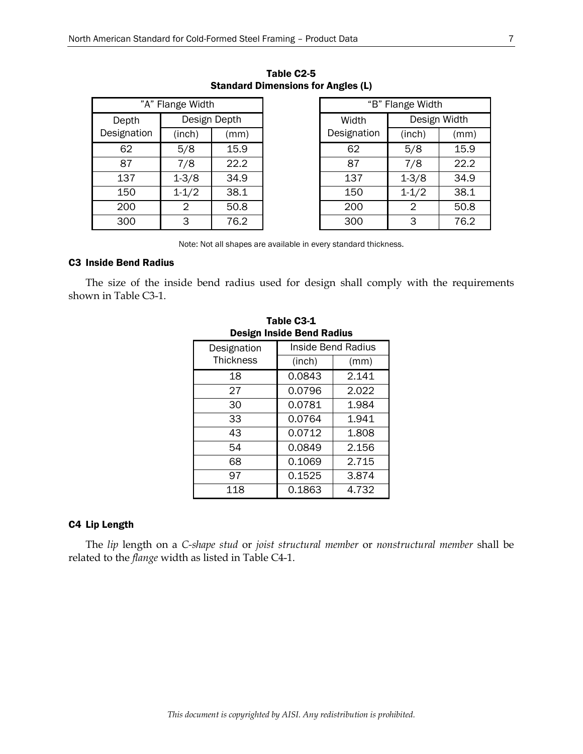|             | "A" Flange Width |              |             | "B" Flange Width |              |
|-------------|------------------|--------------|-------------|------------------|--------------|
| Depth       |                  | Design Depth | Width       |                  | Design Width |
| Designation | (inch)           | (mm)         | Designation | (inch)           | (mm)         |
| 62          | 5/8              | 15.9         | 62          | 5/8              | 15.9         |
| 87          | 7/8              | 22.2         | 87          | 7/8              | 22.2         |
| 137         | $1 - 3/8$        | 34.9         | 137         | $1 - 3/8$        | 34.9         |
| 150         | $1 - 1/2$        | 38.1         | 150         | $1 - 1/2$        | 38.1         |
| 200         | 2                | 50.8         | 200         | 2                | 50.8         |
| 300         | 3                | 76.2         | 300         | 3                | 76.2         |

Table C2-5 Standard Dimensions for Angles (L)

|          | "A" Flange Width |              |             | "B" Flange Width |              |
|----------|------------------|--------------|-------------|------------------|--------------|
| epth)    |                  | Design Depth | Width       |                  | Design Width |
| ignation | (inch)           | (mm)         | Designation | (inch)           | (mm)         |
| 62       | 5/8              | 15.9         | 62          | 5/8              | 15.9         |
| 87       | 7/8              | 22.2         | 87          | 7/8              | 22.2         |
| 137      | $1 - 3/8$        | 34.9         | 137         | $1 - 3/8$        | 34.9         |
| 150      | $1 - 1/2$        | 38.1         | 150         | $1 - 1/2$        | 38.1         |
| 200      | 2                | 50.8         | 200         | 2                | 50.8         |
| 300      | 3                | 76.2         | 300         | 3                | 76.2         |

Note: Not all shapes are available in every standard thickness.

### <span id="page-16-0"></span>C3 Inside Bend Radius

The size of the inside bend radius used for design shall comply with the requirements shown in Table C3-1.

Table C3-1

|                  | <b>Design Inside Bend Radius</b> |                    |
|------------------|----------------------------------|--------------------|
| Designation      |                                  | Inside Bend Radius |
| <b>Thickness</b> | (inch)                           | (mm)               |
| 18               | 0.0843                           | 2.141              |
| 27               | 0.0796                           | 2.022              |
| 30               | 0.0781                           | 1.984              |
| 33               | 0.0764                           | 1.941              |
| 43               | 0.0712                           | 1.808              |
| 54               | 0.0849                           | 2.156              |
| 68               | 0.1069                           | 2.715              |
| 97               | 0.1525                           | 3.874              |
| 118              | 0.1863                           | 4.732              |

### <span id="page-16-1"></span>C4 Lip Length

The *lip* length on a *C-shape stud* or *joist structural member* or *nonstructural member* shall be related to the *flange* width as listed in Table C4-1.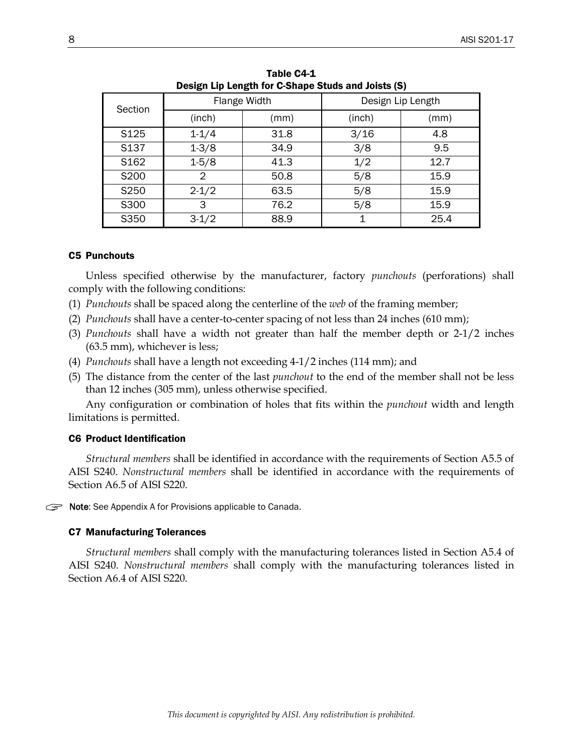| Section          |           | Flange Width | Design Lip Length<br>(inch)<br>3/16<br>3/8<br>1/2<br>5/8<br>5/8<br>5/8 |      |
|------------------|-----------|--------------|------------------------------------------------------------------------|------|
|                  | (inch)    | (mm)         |                                                                        | (mm) |
| S <sub>125</sub> | $1 - 1/4$ | 31.8         |                                                                        | 4.8  |
| S <sub>137</sub> | $1 - 3/8$ | 34.9         |                                                                        | 9.5  |
| S <sub>162</sub> | $1 - 5/8$ | 41.3         |                                                                        | 12.7 |
| S200             | 2         | 50.8         |                                                                        | 15.9 |
| S250             | $2 - 1/2$ | 63.5         |                                                                        | 15.9 |
| S300             | 3         | 76.2         |                                                                        | 15.9 |
| S350             | $3-1/2$   | 88.9         |                                                                        | 25.4 |

Table C4-1 Design Lip Length for C-Shape Studs and Joists (S)

### <span id="page-17-0"></span>C5 Punchouts

Unless specified otherwise by the manufacturer, factory *punchouts* (perforations) shall comply with the following conditions:

- (1) *Punchouts* shall be spaced along the centerline of the *web* of the framing member;
- (2) *Punchouts* shall have a center-to-center spacing of not less than 24 inches (610 mm);
- (3) *Punchouts* shall have a width not greater than half the member depth or 2-1/2 inches (63.5 mm), whichever is less;
- (4) *Punchouts* shall have a length not exceeding 4-1/2 inches (114 mm); and
- (5) The distance from the center of the last *punchout* to the end of the member shall not be less than 12 inches (305 mm), unless otherwise specified.

Any configuration or combination of holes that fits within the *punchout* width and length limitations is permitted.

### <span id="page-17-1"></span>C6 Product Identification

*Structural members* shall be identified in accordance with the requirements of Section A5.5 of AISI S240. *Nonstructural members* shall be identified in accordance with the requirements of Section A6.5 of AISI S220.

**Note:** See Appendix A for Provisions applicable to Canada.

### <span id="page-17-2"></span>C7 Manufacturing Tolerances

*Structural members* shall comply with the manufacturing tolerances listed in Section A5.4 of AISI S240. *Nonstructural members* shall comply with the manufacturing tolerances listed in Section A6.4 of AISI S220.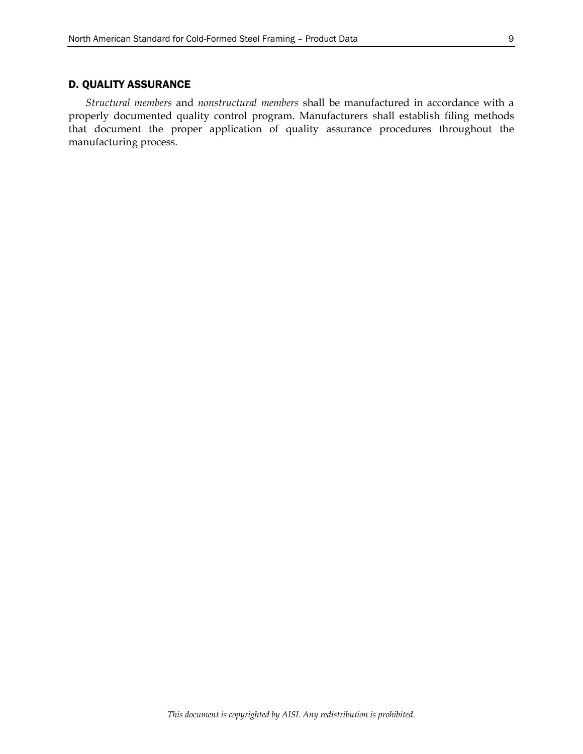## <span id="page-18-0"></span>D. QUALITY ASSURANCE

*Structural members* and *nonstructural members* shall be manufactured in accordance with a properly documented quality control program. Manufacturers shall establish filing methods that document the proper application of quality assurance procedures throughout the manufacturing process.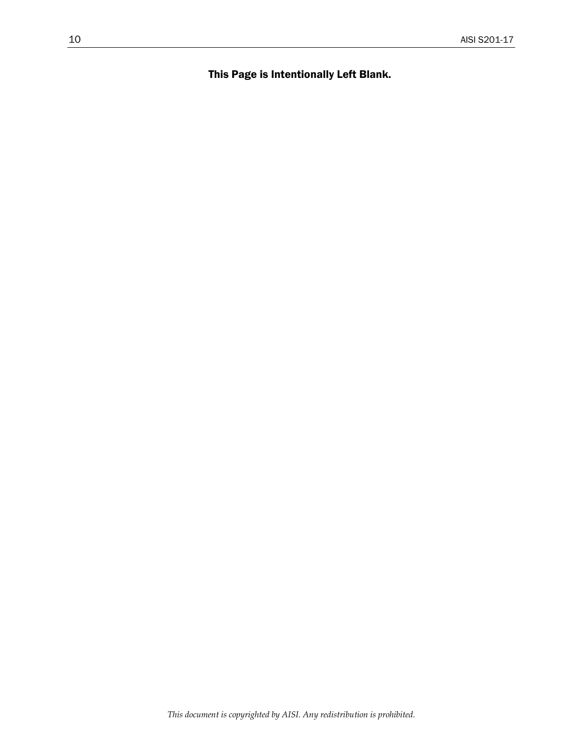This Page is Intentionally Left Blank.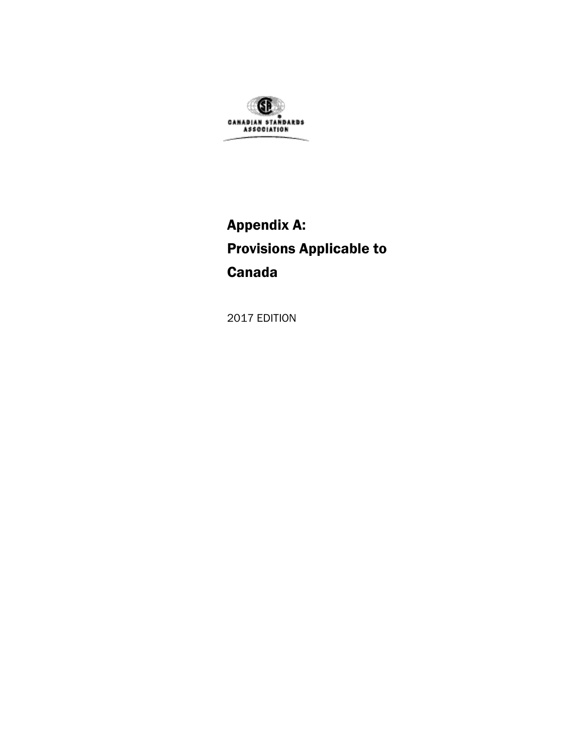

# Appendix A: Provisions Applicable to Canada

2017 EDITION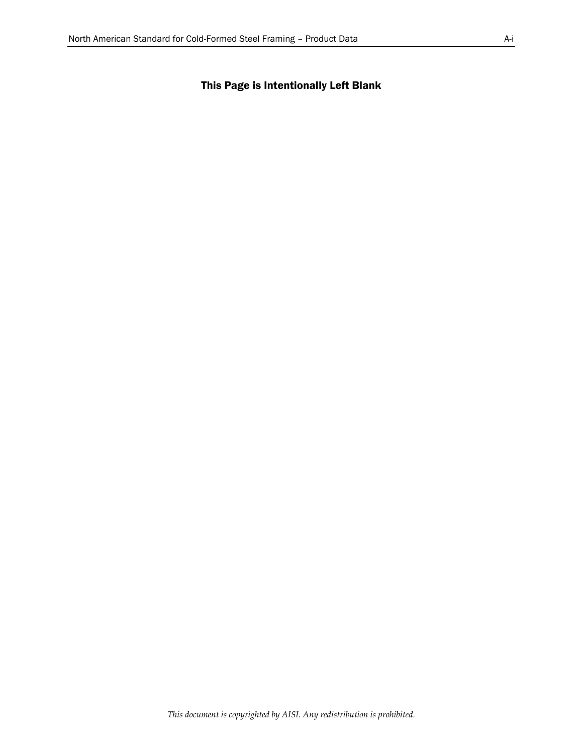# This Page is Intentionally Left Blank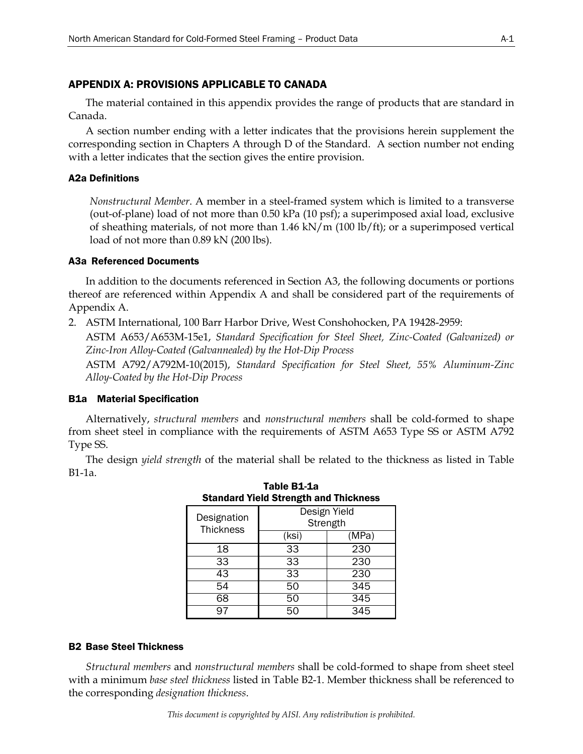### <span id="page-24-0"></span>APPENDIX A: PROVISIONS APPLICABLE TO CANADA

The material contained in this appendix provides the range of products that are standard in Canada.

A section number ending with a letter indicates that the provisions herein supplement the corresponding section in Chapters A through D of the Standard. A section number not ending with a letter indicates that the section gives the entire provision.

### <span id="page-24-1"></span>A2a Definitions

*Nonstructural Member*. A member in a steel-framed system which is limited to a transverse (out-of-plane) load of not more than 0.50 kPa (10 psf); a superimposed axial load, exclusive of sheathing materials, of not more than  $1.46 \text{ kN/m}$  (100 lb/ft); or a superimposed vertical load of not more than 0.89 kN (200 lbs).

### <span id="page-24-2"></span>A3a Referenced Documents

In addition to the documents referenced in Section A3, the following documents or portions thereof are referenced within Appendix A and shall be considered part of the requirements of Appendix A.

2. ASTM International, 100 Barr Harbor Drive, West Conshohocken, PA 19428-2959:

ASTM A653/A653M-15e1, *Standard Specification for Steel Sheet, Zinc-Coated (Galvanized) or Zinc-Iron Alloy-Coated (Galvannealed) by the Hot-Dip Process*

ASTM A792/A792M-10(2015), *Standard Specification for Steel Sheet, 55% Aluminum-Zinc Alloy-Coated by the Hot-Dip Process*

### <span id="page-24-3"></span>B1a Material Specification

Alternatively, *structural members* and *nonstructural members* shall be cold-formed to shape from sheet steel in compliance with the requirements of ASTM A653 Type SS or ASTM A792 Type SS.

The design *yield strength* of the material shall be related to the thickness as listed in Table B1-1a.

|                                 | <b>Standard Yield Strength and Thickness</b> |              |  |  |  |  |
|---------------------------------|----------------------------------------------|--------------|--|--|--|--|
| Designation<br><b>Thickness</b> | Strength                                     | Design Yield |  |  |  |  |
|                                 | (ksi)                                        | (MPa)        |  |  |  |  |
| 18                              | 33                                           | 230          |  |  |  |  |
| 33                              | 33                                           | 230          |  |  |  |  |
| 43                              | 33                                           | 230          |  |  |  |  |
| 54                              | 50                                           | 345          |  |  |  |  |
| $\overline{68}$                 | 50                                           | 345          |  |  |  |  |
| 97                              | 50                                           | 345          |  |  |  |  |

# Table B1-1a Standard Yield Strength and Thickness

### <span id="page-24-4"></span>B2 Base Steel Thickness

*Structural members* and *nonstructural members* shall be cold-formed to shape from sheet steel with a minimum *base steel thickness* listed in Table B2-1. Member thickness shall be referenced to the corresponding *designation thickness*.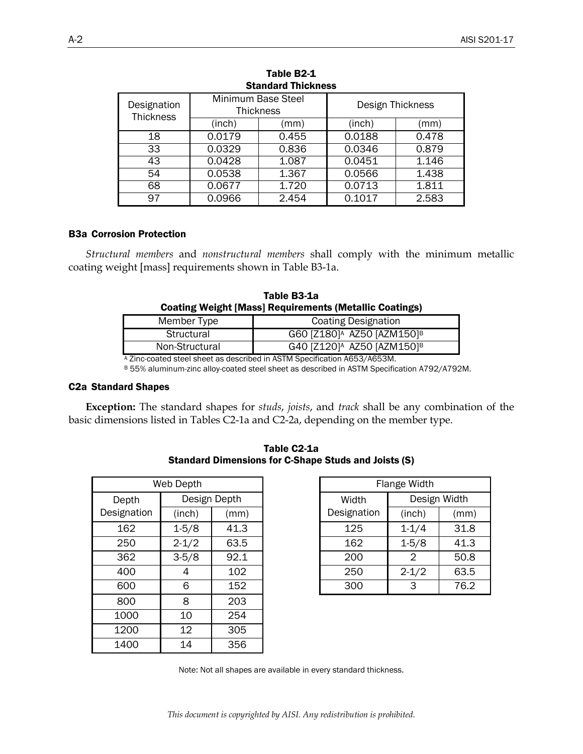| Designation<br><b>Thickness</b> | Minimum Base Steel | <b>Thickness</b> |        | Design Thickness |
|---------------------------------|--------------------|------------------|--------|------------------|
|                                 | (inch)             | (mm)             | (inch) | (mm)             |
| 18                              | 0.0179             | 0.455            | 0.0188 | 0.478            |
| 33                              | 0.0329             | 0.836            | 0.0346 | 0.879            |
| 43                              | 0.0428             | 1.087            | 0.0451 | 1.146            |
| 54                              | 0.0538             | 1.367            | 0.0566 | 1.438            |
| 68                              | 0.0677             | 1.720            | 0.0713 | 1.811            |
| 97                              | 0.0966             | 2.454            | 0.1017 | 2.583            |

Table B2-1 Standard Thickness

### <span id="page-25-0"></span>B3a Corrosion Protection

*Structural members* and *nonstructural members* shall comply with the minimum metallic coating weight [mass] requirements shown in Table B3-1a.

| Table B3-1a                                                   |
|---------------------------------------------------------------|
| <b>Coating Weight [Mass] Requirements (Metallic Coatings)</b> |
|                                                               |

| Member Type    | <b>Coating Designation</b>                                                      |
|----------------|---------------------------------------------------------------------------------|
| Structural     | G60 [Z180] <sup>A</sup> AZ50 [AZM150] <sup>B</sup>                              |
| Non-Structural | G40 [Z120]A AZ50 [AZM150]B                                                      |
|                | $\Delta$ 7ins sected steel sheet as described in ACTM Crestfiestion ACEO (ACEOM |

<sup>A</sup> Zinc-coated steel sheet as described in ASTM Specification A653/A653M.

<sup>B</sup> 55% aluminum-zinc alloy-coated steel sheet as described in ASTM Specification A792/A792M.

### <span id="page-25-1"></span>C2a Standard Shapes

**Exception:** The standard shapes for *studs*, *joists*, and *track* shall be any combination of the basic dimensions listed in Tables C2-1a and C2-2a, depending on the member type.

|             | Web Depth |              |             | Flange Width |              |
|-------------|-----------|--------------|-------------|--------------|--------------|
| Depth       |           | Design Depth | Width       |              | Design Width |
| Designation | (inch)    | (mm)         | Designation | (inch)       | (mm)         |
| 162         | $1 - 5/8$ | 41.3         | 125         | $1 - 1/4$    | 31.8         |
| 250         | $2 - 1/2$ | 63.5         | 162         | $1 - 5/8$    | 41.3         |
| 362         | $3-5/8$   | 92.1         | 200         | 2            | 50.8         |
| 400         | 4         | 102          | 250         | $2 - 1/2$    | 63.5         |
| 600         | 6         | 152          | 300         | 3            | 76.2         |
| 800         | 8         | 203          |             |              |              |
| 1000        | 10        | 254          |             |              |              |
| 1200        | 12        | 305          |             |              |              |
| 1400        | 14        | 356          |             |              |              |

Table C2-1a Standard Dimensions for C-Shape Studs and Joists (S)

|          | Web Depth |              |             | Flange Width |              |
|----------|-----------|--------------|-------------|--------------|--------------|
| epth)    |           | Design Depth | Width       |              | Design Width |
| ignation | (inch)    | (mm)         | Designation | (inch)       | (mm)         |
| 162      | $1 - 5/8$ | 41.3         | 125         | $1 - 1/4$    | 31.8         |
| 250      | $2 - 1/2$ | 63.5         | 162         | $1 - 5/8$    | 41.3         |
| 362      | $3-5/8$   | 92.1         | 200         | 2            | 50.8         |
| 400      | 4         | 102          | 250         | $2 - 1/2$    | 63.5         |
| 600      | 6         | 152          | 300         | 3            | 76.2         |
|          |           |              |             |              |              |

Note: Not all shapes are available in every standard thickness.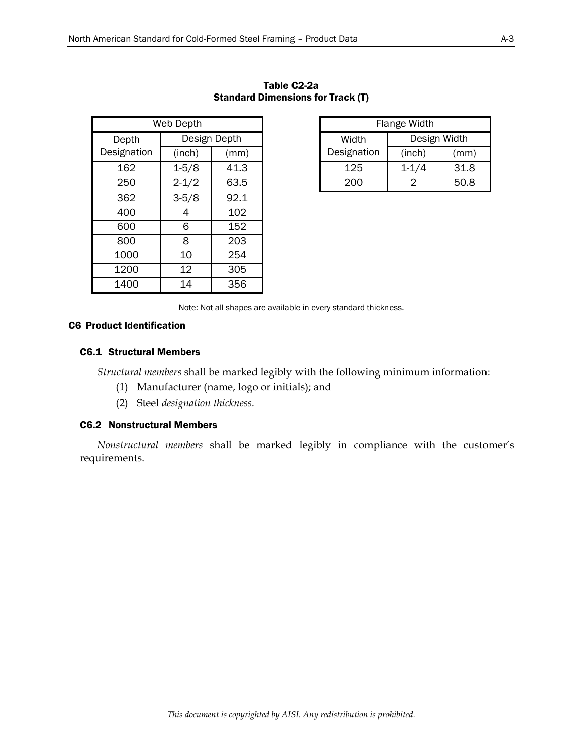|             | Web Depth |              |             | Flange Width |              |  |
|-------------|-----------|--------------|-------------|--------------|--------------|--|
| Depth       |           | Design Depth | Width       |              | Design Width |  |
| Designation | (inch)    | (mm)         | Designation | (inch)       | (mm)         |  |
| 162         | $1 - 5/8$ | 41.3         | 125         | $1 - 1/4$    | 31.8         |  |
| 250         | $2 - 1/2$ | 63.5         | 200         | 2            | 50.8         |  |
| 362         | $3-5/8$   | 92.1         |             |              |              |  |
| 400         | 4         | 102          |             |              |              |  |
| 600         | 6         | 152          |             |              |              |  |
| 800         | 8         | 203          |             |              |              |  |
| 1000        | 10        | 254          |             |              |              |  |
| 1200        | 12        | 305          |             |              |              |  |
| 1400        | 14        | 356          |             |              |              |  |

| Table C2-2a |  |                                          |  |  |  |
|-------------|--|------------------------------------------|--|--|--|
|             |  | <b>Standard Dimensions for Track (T)</b> |  |  |  |

| Web Depth |           |              | Flange Width |             |              |      |
|-----------|-----------|--------------|--------------|-------------|--------------|------|
| epth)     |           | Design Depth | Width        |             | Design Width |      |
| ignation  | (inch)    | (mm)         |              | Designation | (inch)       | (mm) |
| 162       | $1 - 5/8$ | 41.3         |              | 125         | $1 - 1/4$    | 31.8 |
| 250       | $2 - 1/2$ | 63.5         |              | 200         |              | 50.8 |

Note: Not all shapes are available in every standard thickness.

### <span id="page-26-0"></span>C6 Product Identification

### <span id="page-26-1"></span>C6.1 Structural Members

*Structural members* shall be marked legibly with the following minimum information:

- (1) Manufacturer (name, logo or initials); and
- (2) Steel *designation thickness*.

### <span id="page-26-2"></span>C6.2 Nonstructural Members

*Nonstructural members* shall be marked legibly in compliance with the customer's requirements.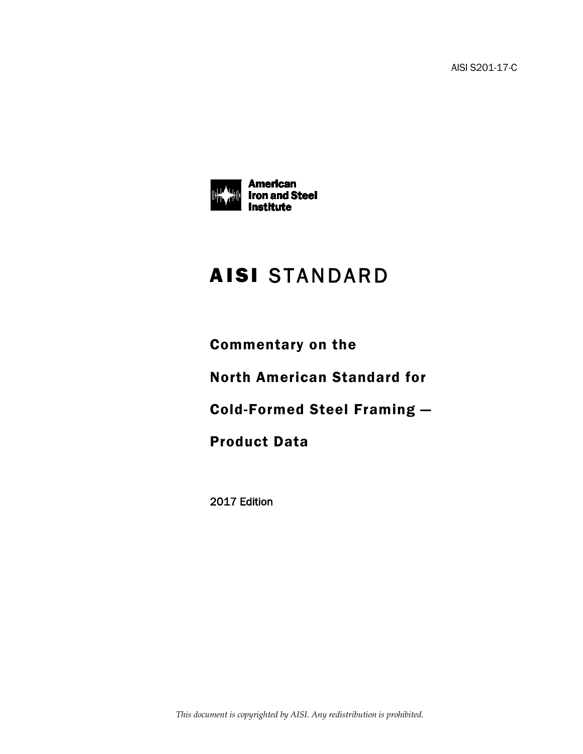AISI S201-17-C

<span id="page-29-0"></span>

# AISI STANDARD

Commentary on the

North American Standard for

Cold-Formed Steel Framing —

Product Data

2017 Edition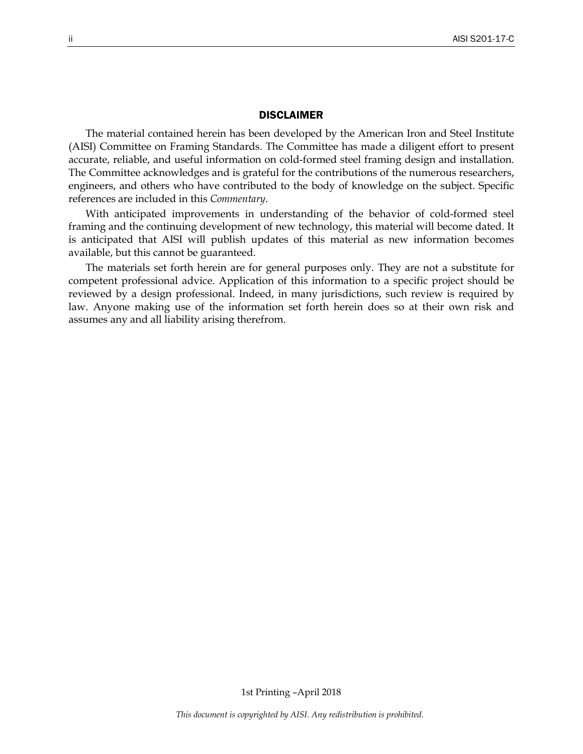### DISCLAIMER

The material contained herein has been developed by the American Iron and Steel Institute (AISI) Committee on Framing Standards. The Committee has made a diligent effort to present accurate, reliable, and useful information on cold-formed steel framing design and installation. The Committee acknowledges and is grateful for the contributions of the numerous researchers, engineers, and others who have contributed to the body of knowledge on the subject. Specific references are included in this *Commentary*.

With anticipated improvements in understanding of the behavior of cold-formed steel framing and the continuing development of new technology, this material will become dated. It is anticipated that AISI will publish updates of this material as new information becomes available, but this cannot be guaranteed.

The materials set forth herein are for general purposes only. They are not a substitute for competent professional advice. Application of this information to a specific project should be reviewed by a design professional. Indeed, in many jurisdictions, such review is required by law. Anyone making use of the information set forth herein does so at their own risk and assumes any and all liability arising therefrom.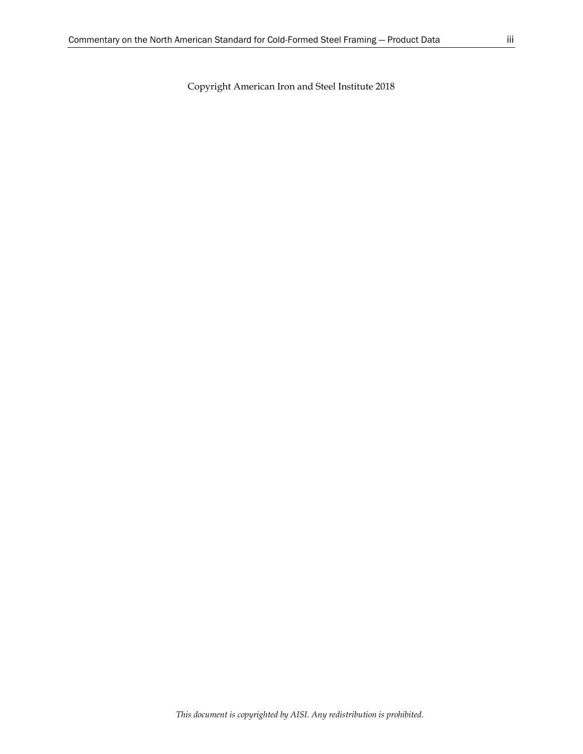<span id="page-31-0"></span>Copyright American Iron and Steel Institute 2018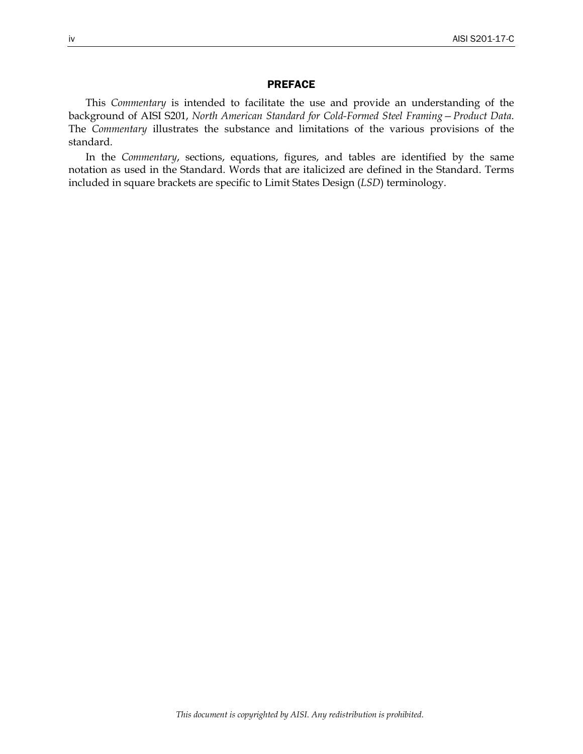### PREFACE

This *Commentary* is intended to facilitate the use and provide an understanding of the background of AISI S201, *North American Standard for Cold-Formed Steel Framing—Product Data*. The *Commentary* illustrates the substance and limitations of the various provisions of the standard.

In the *Commentary*, sections, equations, figures, and tables are identified by the same notation as used in the Standard. Words that are italicized are defined in the Standard. Terms included in square brackets are specific to Limit States Design (*LSD*) terminology.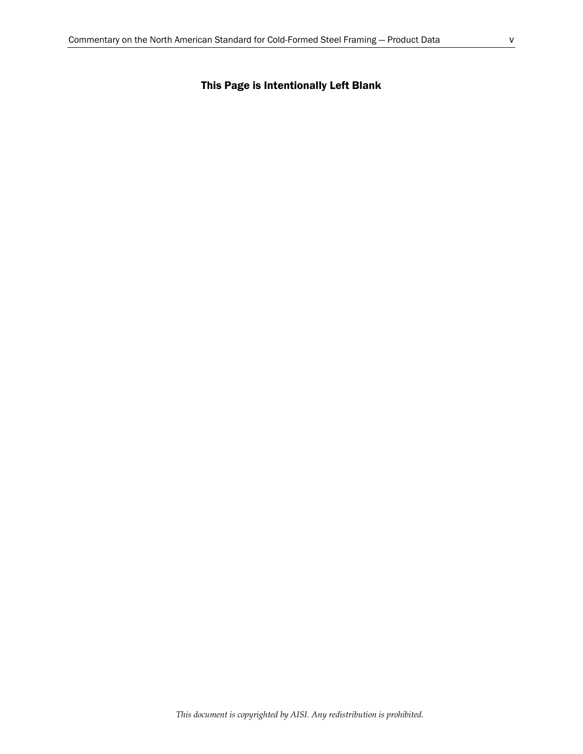# This Page is Intentionally Left Blank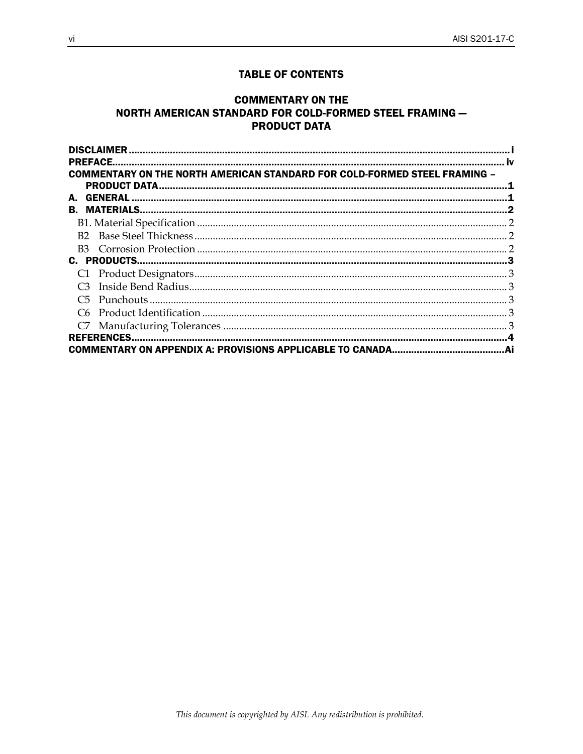## **TABLE OF CONTENTS**

# **COMMENTARY ON THE** NORTH AMERICAN STANDARD FOR COLD-FORMED STEEL FRAMING -**PRODUCT DATA**

| <b>PREFACE.</b>                                                                  |  |
|----------------------------------------------------------------------------------|--|
| <b>COMMENTARY ON THE NORTH AMERICAN STANDARD FOR COLD-FORMED STEEL FRAMING -</b> |  |
|                                                                                  |  |
| <b>GENERAL</b><br>А.                                                             |  |
| В.                                                                               |  |
|                                                                                  |  |
|                                                                                  |  |
|                                                                                  |  |
|                                                                                  |  |
|                                                                                  |  |
|                                                                                  |  |
|                                                                                  |  |
|                                                                                  |  |
|                                                                                  |  |
| <b>REFERENCES</b>                                                                |  |
|                                                                                  |  |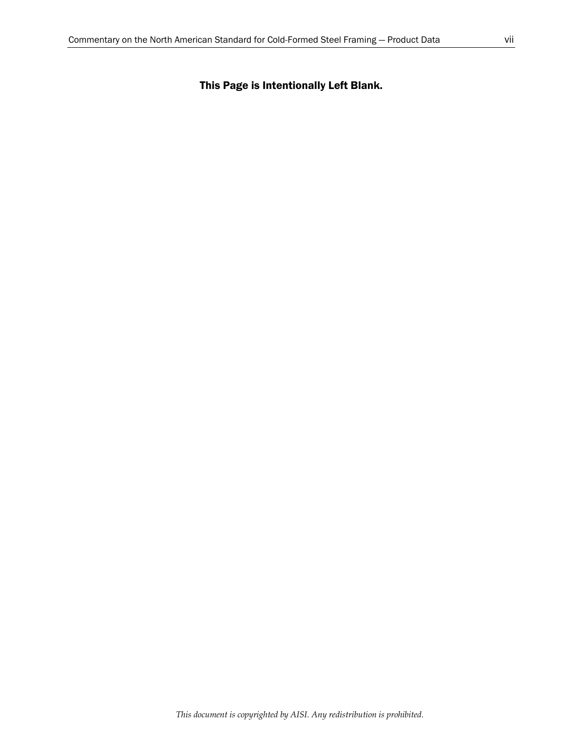# This Page is Intentionally Left Blank.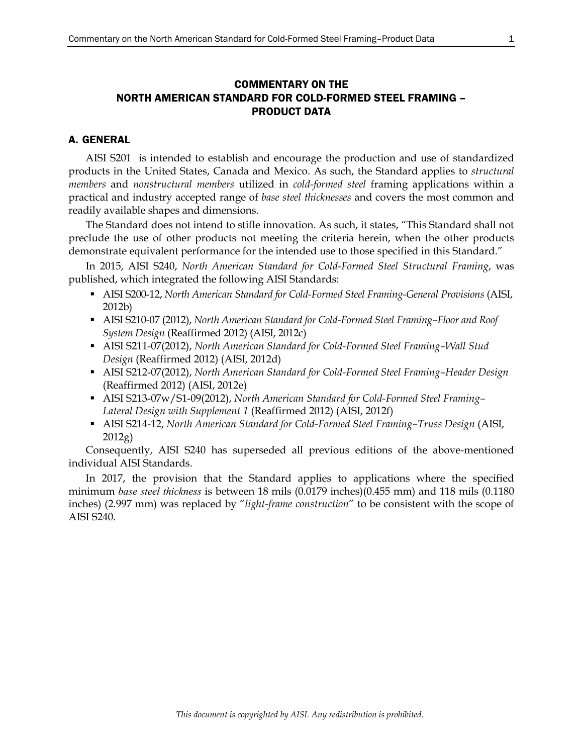# <span id="page-37-0"></span>COMMENTARY ON THE NORTH AMERICAN STANDARD FOR COLD-FORMED STEEL FRAMING – PRODUCT DATA

### <span id="page-37-1"></span>A. GENERAL

AISI S201 is intended to establish and encourage the production and use of standardized products in the United States, Canada and Mexico. As such, the Standard applies to *structural members* and *nonstructural members* utilized in *cold-formed steel* framing applications within a practical and industry accepted range of *base steel thicknesses* and covers the most common and readily available shapes and dimensions.

The Standard does not intend to stifle innovation. As such, it states, "This Standard shall not preclude the use of other products not meeting the criteria herein, when the other products demonstrate equivalent performance for the intended use to those specified in this Standard."

In 2015, AISI S240, *North American Standard for Cold-Formed Steel Structural Framing*, was published, which integrated the following AISI Standards:

- AISI S200-12, *North American Standard for Cold-Formed Steel Framing-General Provisions* (AISI, 2012b)
- AISI S210-07 (2012), *North American Standard for Cold-Formed Steel Framing–Floor and Roof System Design* (Reaffirmed 2012) (AISI, 2012c)
- AISI S211-07(2012), *North American Standard for Cold-Formed Steel Framing–Wall Stud Design* (Reaffirmed 2012) (AISI, 2012d)
- AISI S212-07(2012), *North American Standard for Cold-Formed Steel Framing–Header Design* (Reaffirmed 2012) (AISI, 2012e)
- AISI S213-07w/S1-09(2012), *North American Standard for Cold-Formed Steel Framing– Lateral Design with Supplement 1* (Reaffirmed 2012) (AISI, 2012f)
- AISI S214-12, *North American Standard for Cold-Formed Steel Framing–Truss Design* (AISI, 2012g)

Consequently, AISI S240 has superseded all previous editions of the above-mentioned individual AISI Standards.

In 2017, the provision that the Standard applies to applications where the specified minimum *base steel thickness* is between 18 mils (0.0179 inches)(0.455 mm) and 118 mils (0.1180 inches) (2.997 mm) was replaced by "*light-frame construction*" to be consistent with the scope of AISI S240.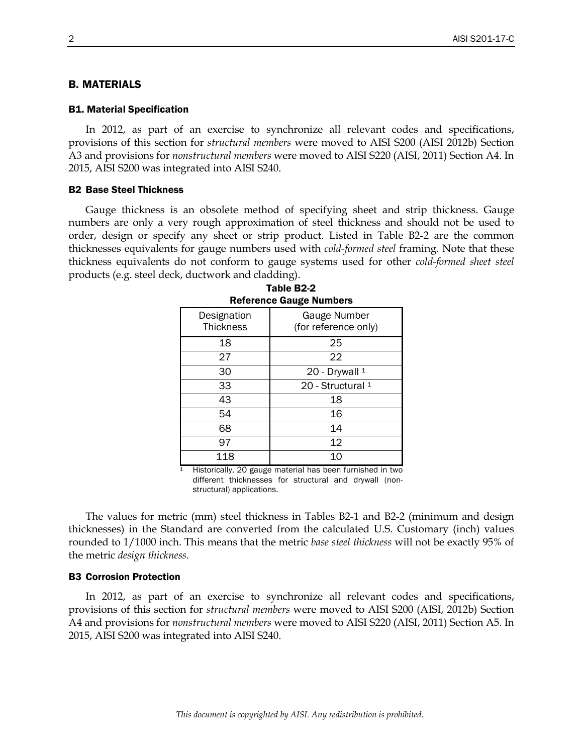### <span id="page-38-0"></span>B. MATERIALS

### <span id="page-38-1"></span>B1. Material Specification

In 2012, as part of an exercise to synchronize all relevant codes and specifications, provisions of this section for *structural members* were moved to AISI S200 (AISI 2012b) Section A3 and provisions for *nonstructural members* were moved to AISI S220 (AISI, 2011) Section A4. In 2015, AISI S200 was integrated into AISI S240.

### <span id="page-38-2"></span>B2 Base Steel Thickness

Gauge thickness is an obsolete method of specifying sheet and strip thickness. Gauge numbers are only a very rough approximation of steel thickness and should not be used to order, design or specify any sheet or strip product. Listed in Table B2-2 are the common thicknesses equivalents for gauge numbers used with *cold-formed steel* framing. Note that these thickness equivalents do not conform to gauge systems used for other *cold-formed sheet steel* products (e.g. steel deck, ductwork and cladding).

| Reference Gauge Numbers         |                                      |  |  |  |  |
|---------------------------------|--------------------------------------|--|--|--|--|
| Designation<br><b>Thickness</b> | Gauge Number<br>(for reference only) |  |  |  |  |
| 18                              | 25                                   |  |  |  |  |
| 27                              | 22                                   |  |  |  |  |
| 30                              | 20 - Drywall <sup>1</sup>            |  |  |  |  |
| 33                              | 20 - Structural 1                    |  |  |  |  |
| 43                              | 18                                   |  |  |  |  |
| 54                              | 16                                   |  |  |  |  |
| 68                              | 14                                   |  |  |  |  |
| 97                              | 12                                   |  |  |  |  |
| 118                             | 10                                   |  |  |  |  |

| Table B2-2                     |  |  |
|--------------------------------|--|--|
| <b>Reference Gauge Numbers</b> |  |  |

 $\frac{1}{1}$  Historically, 20 gauge material has been furnished in two different thicknesses for structural and drywall (nonstructural) applications.

The values for metric (mm) steel thickness in Tables B2-1 and B2-2 (minimum and design thicknesses) in the Standard are converted from the calculated U.S. Customary (inch) values rounded to 1/1000 inch. This means that the metric *base steel thickness* will not be exactly 95% of the metric *design thickness*.

### <span id="page-38-3"></span>B3 Corrosion Protection

In 2012, as part of an exercise to synchronize all relevant codes and specifications, provisions of this section for *structural members* were moved to AISI S200 (AISI, 2012b) Section A4 and provisions for *nonstructural members* were moved to AISI S220 (AISI, 2011) Section A5. In 2015, AISI S200 was integrated into AISI S240.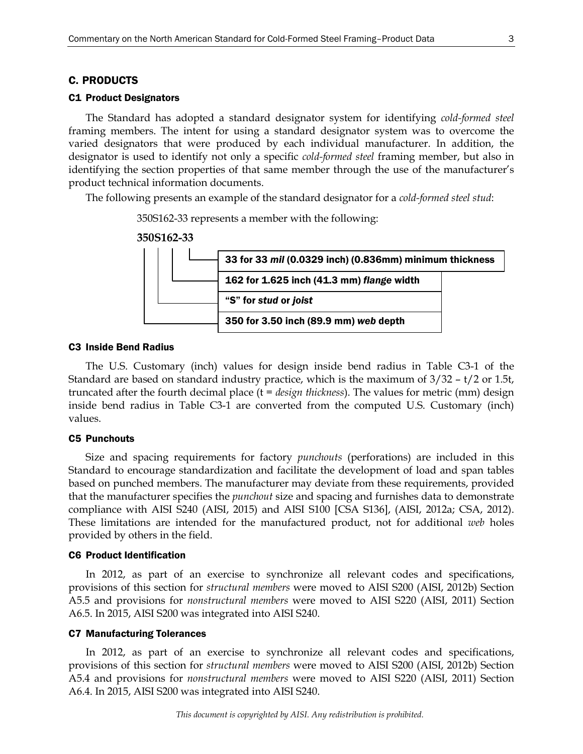### <span id="page-39-0"></span>C. PRODUCTS

### <span id="page-39-1"></span>C1 Product Designators

The Standard has adopted a standard designator system for identifying *cold-formed steel* framing members. The intent for using a standard designator system was to overcome the varied designators that were produced by each individual manufacturer. In addition, the designator is used to identify not only a specific *cold-formed steel* framing member, but also in identifying the section properties of that same member through the use of the manufacturer's product technical information documents.

The following presents an example of the standard designator for a *cold-formed steel stud*:

350S162-33 represents a member with the following:



 **350S162-33**

### <span id="page-39-2"></span>C3 Inside Bend Radius

The U.S. Customary (inch) values for design inside bend radius in Table C3-1 of the Standard are based on standard industry practice, which is the maximum of 3/32 – t/2 or 1.5t, truncated after the fourth decimal place (t = *design thickness*). The values for metric (mm) design inside bend radius in Table C3-1 are converted from the computed U.S. Customary (inch) values.

### <span id="page-39-3"></span>C5 Punchouts

Size and spacing requirements for factory *punchouts* (perforations) are included in this Standard to encourage standardization and facilitate the development of load and span tables based on punched members. The manufacturer may deviate from these requirements, provided that the manufacturer specifies the *punchout* size and spacing and furnishes data to demonstrate compliance with AISI S240 (AISI, 2015) and AISI S100 [CSA S136], (AISI, 2012a; CSA, 2012). These limitations are intended for the manufactured product, not for additional *web* holes provided by others in the field.

### <span id="page-39-4"></span>C6 Product Identification

In 2012, as part of an exercise to synchronize all relevant codes and specifications, provisions of this section for *structural members* were moved to AISI S200 (AISI, 2012b) Section A5.5 and provisions for *nonstructural members* were moved to AISI S220 (AISI, 2011) Section A6.5. In 2015, AISI S200 was integrated into AISI S240.

### <span id="page-39-5"></span>C7 Manufacturing Tolerances

In 2012, as part of an exercise to synchronize all relevant codes and specifications, provisions of this section for *structural members* were moved to AISI S200 (AISI, 2012b) Section A5.4 and provisions for *nonstructural members* were moved to AISI S220 (AISI, 2011) Section A6.4. In 2015, AISI S200 was integrated into AISI S240.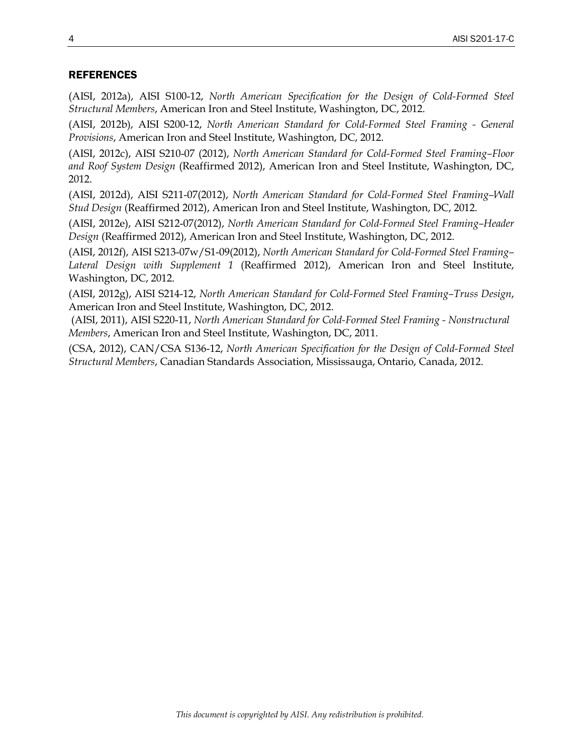### <span id="page-40-0"></span>**REFERENCES**

(AISI, 2012a), AISI S100-12, *North American Specification for the Design of Cold-Formed Steel Structural Members*, American Iron and Steel Institute, Washington, DC, 2012.

(AISI, 2012b), AISI S200-12, *North American Standard for Cold-Formed Steel Framing - General Provisions*, American Iron and Steel Institute, Washington, DC, 2012.

(AISI, 2012c), AISI S210-07 (2012), *North American Standard for Cold-Formed Steel Framing–Floor and Roof System Design* (Reaffirmed 2012), American Iron and Steel Institute, Washington, DC, 2012.

(AISI, 2012d), AISI S211-07(2012), *North American Standard for Cold-Formed Steel Framing–Wall Stud Design* (Reaffirmed 2012), American Iron and Steel Institute, Washington, DC, 2012.

(AISI, 2012e), AISI S212-07(2012), *North American Standard for Cold-Formed Steel Framing–Header Design* (Reaffirmed 2012), American Iron and Steel Institute, Washington, DC, 2012.

(AISI, 2012f), AISI S213-07w/S1-09(2012), *North American Standard for Cold-Formed Steel Framing– Lateral Design with Supplement 1* (Reaffirmed 2012), American Iron and Steel Institute, Washington, DC, 2012.

(AISI, 2012g), AISI S214-12, *North American Standard for Cold-Formed Steel Framing–Truss Design*, American Iron and Steel Institute, Washington, DC, 2012.

(AISI, 2011), AISI S220-11, *North American Standard for Cold-Formed Steel Framing - Nonstructural Members*, American Iron and Steel Institute, Washington, DC, 2011.

(CSA, 2012), CAN/CSA S136-12, *North American Specification for the Design of Cold-Formed Steel Structural Members*, Canadian Standards Association, Mississauga, Ontario, Canada, 2012.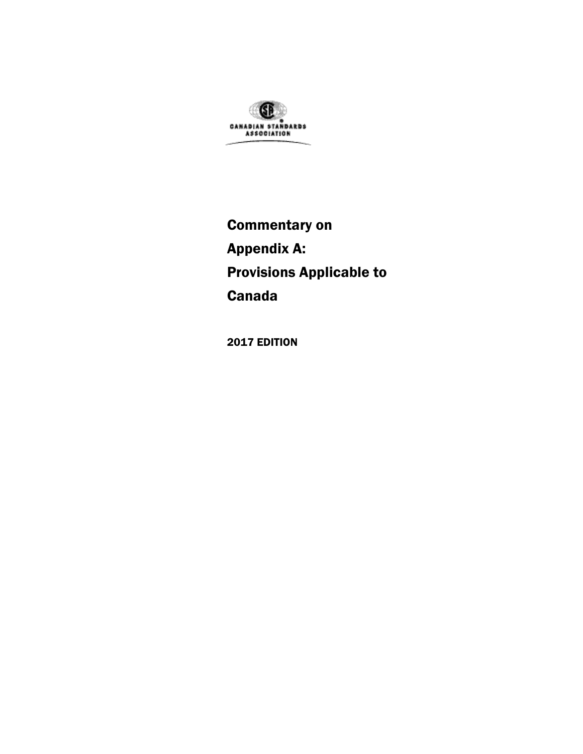

Commentary on Appendix A: Provisions Applicable to Canada

2017 EDITION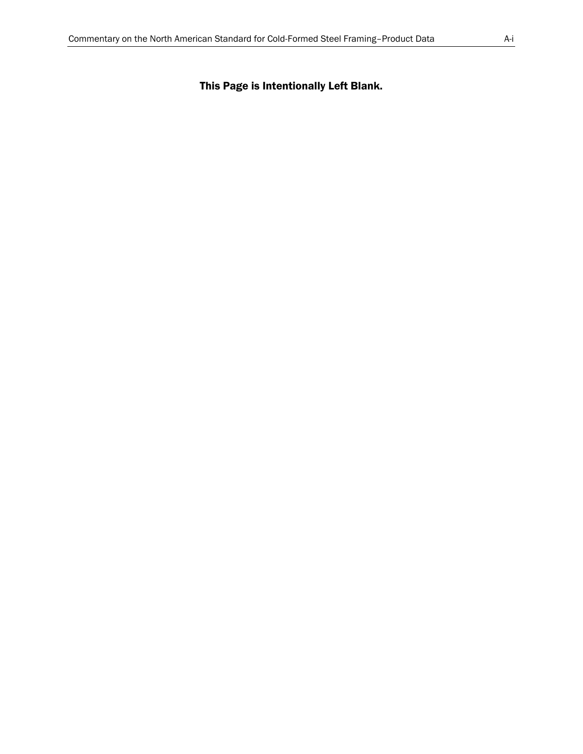# This Page is Intentionally Left Blank.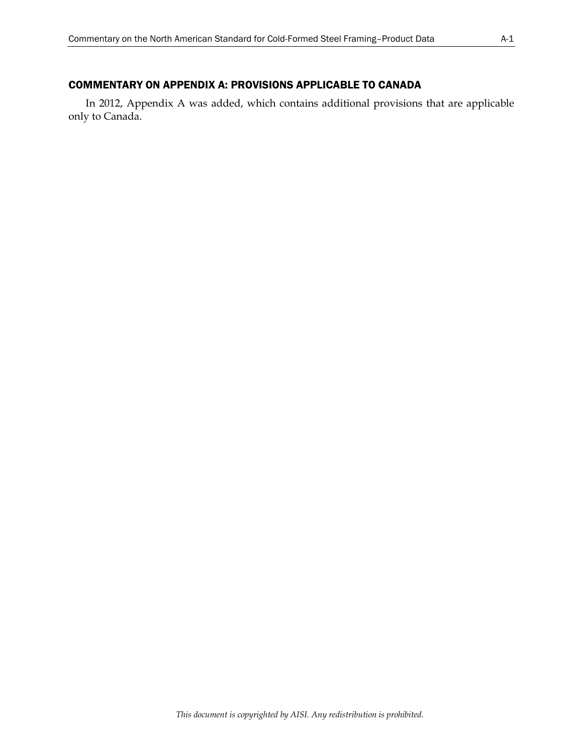## COMMENTARY ON APPENDIX A: PROVISIONS APPLICABLE TO CANADA

In 2012, Appendix A was added, which contains additional provisions that are applicable only to Canada.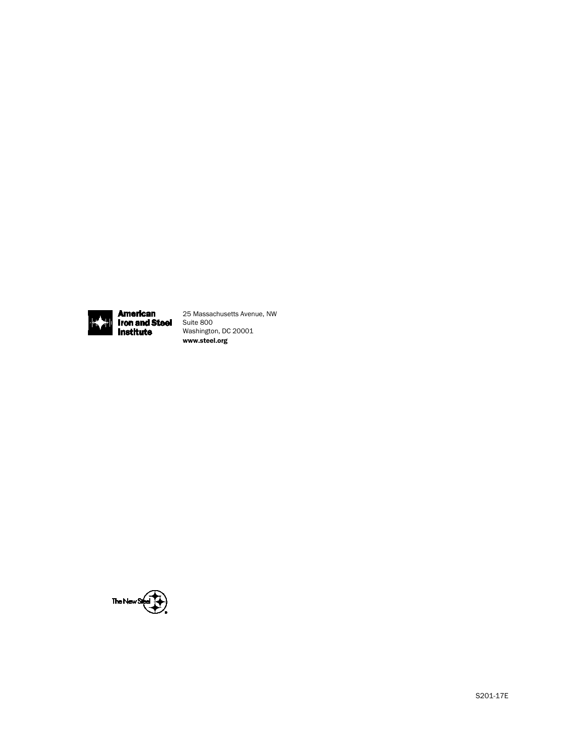

25 Massachusetts Avenue, NW **| American** 25 Massac<br>| **Iron and Steel** Suite 800<br>| **Institute** Washington Washington, DC 20001 www.steel.org